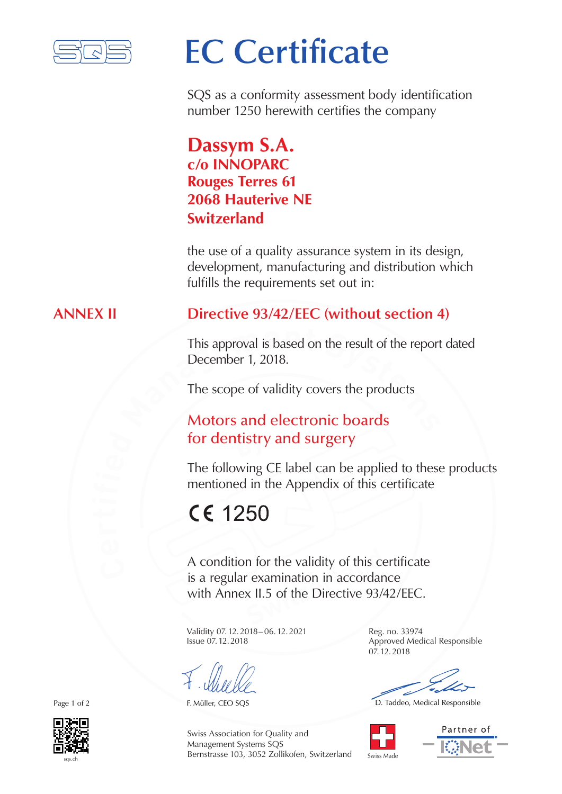

# **EC Certificate**

SQS as a conformity assessment body identification number 1250 herewith certifies the company

## **Dassym S.A. c/o INNOPARC Rouges Terres 61 2068 Hauterive NE Switzerland**

the use of a quality assurance system in its design, development, manufacturing and distribution which fulfills the requirements set out in:

### **ANNEX II Directive 93/42/EEC (without section 4)**

This approval is based on the result of the report<br>December 1, 2018.<br>The scope of validity covers the products<br>**Motors and electronic boards** This approval is based on the result of the report dated December 1, 2018.

The scope of validity covers the products

## **by** for dentistry and surgery Motors and electronic boards

The following CE label can be applied to these products mentioned in the Appendix of this certificate

## CE 1250

**n** for the validity of this correxamination in accordar<br>**x II.5** of the Directive 93/ A condition for the validity of this certificate is a regular examination in accordance with Annex II.5 of the Directive 93/42/EEC.

Validity 07.12.2018– 06.12.2021 Reg. no. 33974 Issue 07.12.2018 Approved Medical Responsible

Swiss Association for Quality and Management Systems SQS Bernstrasse 103, 3052 Zollikofen, Switzerland 07.12.2018

F. Müller, CEO SQS **D. Taddeo, Medical Responsible** 





Page 1 of 2